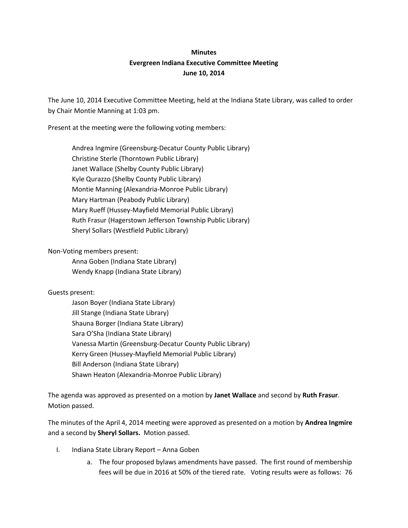## **Minutes Evergreen Indiana Executive Committee Meeting June 10, 2014**

The June 10, 2014 Executive Committee Meeting, held at the Indiana State Library, was called to order by Chair Montie Manning at 1:03 pm.

Present at the meeting were the following voting members:

Andrea Ingmire (Greensburg-Decatur County Public Library) Christine Sterle (Thorntown Public Library) Janet Wallace (Shelby County Public Library) Kyle Qurazzo (Shelby County Public Library) Montie Manning (Alexandria-Monroe Public Library) Mary Hartman (Peabody Public Library) Mary Rueff (Hussey-Mayfield Memorial Public Library) Ruth Frasur (Hagerstown Jefferson Township Public Library) Sheryl Sollars (Westfield Public Library)

Non-Voting members present:

Anna Goben (Indiana State Library) Wendy Knapp (Indiana State Library)

## Guests present:

Jason Boyer (Indiana State Library) Jill Stange (Indiana State Library) Shauna Borger (Indiana State Library) Sara O'Sha (Indiana State Library) Vanessa Martin (Greensburg-Decatur County Public Library) Kerry Green (Hussey-Mayfield Memorial Public Library) Bill Anderson (Indiana State Library) Shawn Heaton (Alexandria-Monroe Public Library)

The agenda was approved as presented on a motion by **Janet Wallace** and second by **Ruth Frasur**. Motion passed.

The minutes of the April 4, 2014 meeting were approved as presented on a motion by **Andrea Ingmire** and a second by **Sheryl Sollars.** Motion passed.

- I. Indiana State Library Report Anna Goben
	- a. The four proposed bylaws amendments have passed. The first round of membership fees will be due in 2016 at 50% of the tiered rate. Voting results were as follows: 76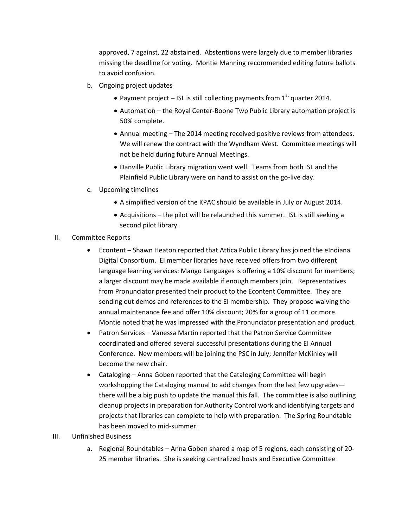approved, 7 against, 22 abstained. Abstentions were largely due to member libraries missing the deadline for voting. Montie Manning recommended editing future ballots to avoid confusion.

- b. Ongoing project updates
	- Payment project ISL is still collecting payments from  $1<sup>st</sup>$  quarter 2014.
	- Automation the Royal Center-Boone Twp Public Library automation project is 50% complete.
	- Annual meeting The 2014 meeting received positive reviews from attendees. We will renew the contract with the Wyndham West. Committee meetings will not be held during future Annual Meetings.
	- Danville Public Library migration went well. Teams from both ISL and the Plainfield Public Library were on hand to assist on the go-live day.
- c. Upcoming timelines
	- A simplified version of the KPAC should be available in July or August 2014.
	- Acquisitions the pilot will be relaunched this summer. ISL is still seeking a second pilot library.
- II. Committee Reports
	- Econtent Shawn Heaton reported that Attica Public Library has joined the eIndiana Digital Consortium. EI member libraries have received offers from two different language learning services: Mango Languages is offering a 10% discount for members; a larger discount may be made available if enough members join. Representatives from Pronunciator presented their product to the Econtent Committee. They are sending out demos and references to the EI membership. They propose waiving the annual maintenance fee and offer 10% discount; 20% for a group of 11 or more. Montie noted that he was impressed with the Pronunciator presentation and product.
	- Patron Services Vanessa Martin reported that the Patron Service Committee coordinated and offered several successful presentations during the EI Annual Conference. New members will be joining the PSC in July; Jennifer McKinley will become the new chair.
	- Cataloging Anna Goben reported that the Cataloging Committee will begin workshopping the Cataloging manual to add changes from the last few upgrades there will be a big push to update the manual this fall. The committee is also outlining cleanup projects in preparation for Authority Control work and identifying targets and projects that libraries can complete to help with preparation. The Spring Roundtable has been moved to mid-summer.
- III. Unfinished Business
	- a. Regional Roundtables Anna Goben shared a map of 5 regions, each consisting of 20- 25 member libraries. She is seeking centralized hosts and Executive Committee